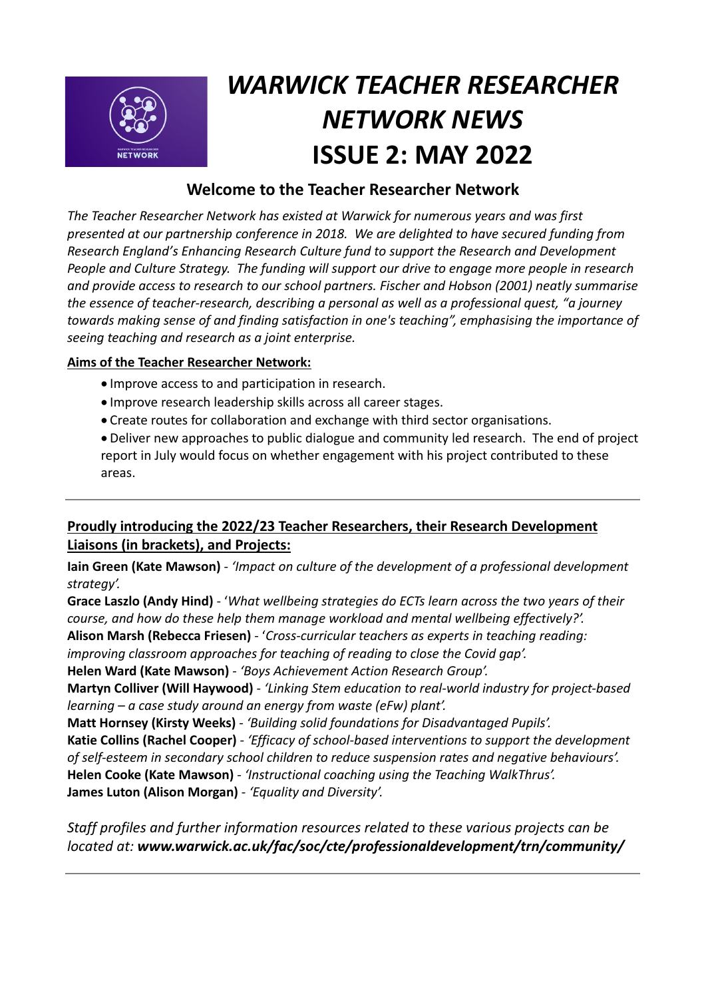

# *WARWICK TEACHER RESEARCHER NETWORK NEWS*  **ISSUE 2: MAY 2022**

# **Welcome to the Teacher Researcher Network**

*The Teacher Researcher Network has existed at Warwick for numerous years and was first presented at our partnership conference in 2018. We are delighted to have secured funding from Research England's Enhancing Research Culture fund to support the Research and Development People and Culture Strategy. The funding will support our drive to engage more people in research and provide access to research to our school partners. Fischer and Hobson (2001) neatly summarise the essence of teacher-research, describing a personal as well as a professional quest, "a journey towards making sense of and finding satisfaction in one's teaching", emphasising the importance of seeing teaching and research as a joint enterprise.*

### **Aims of the Teacher Researcher Network:**

- Improve access to and participation in research.
- Improve research leadership skills across all career stages.
- Create routes for collaboration and exchange with third sector organisations.

• Deliver new approaches to public dialogue and community led research. The end of project report in July would focus on whether engagement with his project contributed to these areas.

## **Proudly introducing the 2022/23 Teacher Researchers, their Research Development Liaisons (in brackets), and Projects:**

**Iain Green (Kate Mawson)** - *'Impact on culture of the development of a professional development strategy'.*

**Grace Laszlo (Andy Hind)** - '*What wellbeing strategies do ECTs learn across the two years of their course, and how do these help them manage workload and mental wellbeing effectively?'.*

**Alison Marsh (Rebecca Friesen)** - '*Cross-curricular teachers as experts in teaching reading:* 

*improving classroom approaches for teaching of reading to close the Covid gap'.*

**Helen Ward (Kate Mawson)** - *'Boys Achievement Action Research Group'.*

**Martyn Colliver (Will Haywood)** - *'Linking Stem education to real-world industry for project-based learning – a case study around an energy from waste (eFw) plant'.*

**Matt Hornsey (Kirsty Weeks)** - *'Building solid foundations for Disadvantaged Pupils'.*

**Katie Collins (Rachel Cooper)** - *'Efficacy of school-based interventions to support the development of self-esteem in secondary school children to reduce suspension rates and negative behaviours'.* **Helen Cooke (Kate Mawson)** - *'Instructional coaching using the Teaching WalkThrus'.*

**James Luton (Alison Morgan)** - *'Equality and Diversity'.*

*Staff profiles and further information resources related to these various projects can be located at: www.warwick.ac.uk/fac/soc/cte/professionaldevelopment/trn/community/*